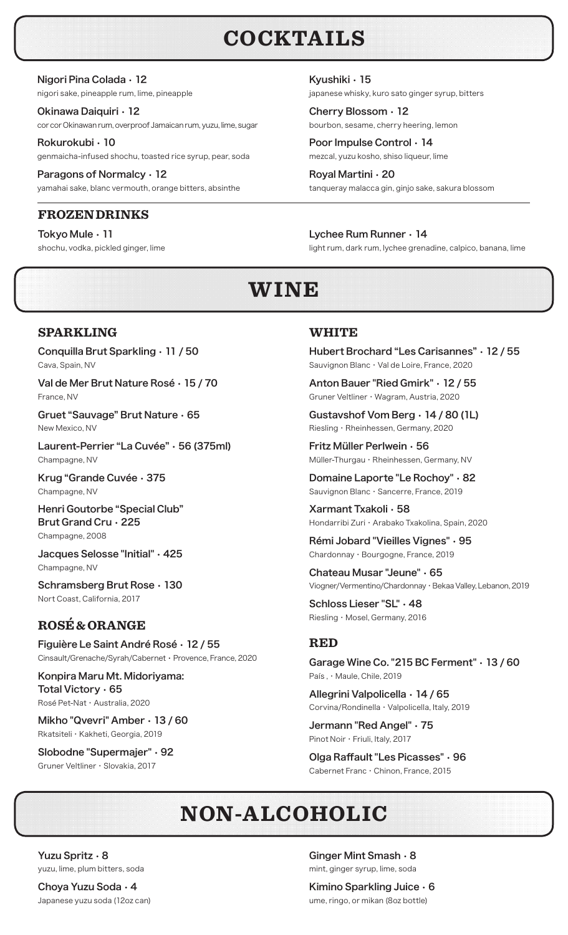## **COCKTAILS**

Nigori Pina Colada • 12 nigori sake, pineapple rum, lime, pineapple

Okinawa Daiquiri • 12 cor cor Okinawan rum, overproof Jamaican rum, yuzu, lime, sugar

Rokurokubi • 10 genmaicha-infused shochu, toasted rice syrup, pear, soda

Paragons of Normalcy • 12 yamahai sake, blanc vermouth, orange bitters, absinthe

### **FROZEN DRINKS**

Tokyo Mule • 11 shochu, vodka, pickled ginger, lime Kyushiki • 15 japanese whisky, kuro sato ginger syrup, bitters

Cherry Blossom • 12 bourbon, sesame, cherry heering, lemon

Poor Impulse Control • 14 mezcal, yuzu kosho, shiso liqueur, lime

Royal Martini • 20 tanqueray malacca gin, ginjo sake, sakura blossom

Lychee Rum Runner • 14 light rum, dark rum, lychee grenadine, calpico, banana, lime

## **WINE**

### **SPARKLING**

Conquilla Brut Sparkling • 11 / 50 Cava, Spain, NV

Val de Mer Brut Nature Rosé • 15 / 70 France, NV

Gruet "Sauvage" Brut Nature • 65 New Mexico, NV

Laurent-Perrier "La Cuvée" • 56 (375ml) Champagne, NV

Krug "Grande Cuvée • 375 Champagne, NV

Henri Goutorbe "Special Club" Brut Grand Cru • 225 Champagne, 2008

Jacques Selosse "Initial" • 425 Champagne, NV

Schramsberg Brut Rose • 130 Nort Coast, California, 2017

### **ROSÉ & ORANGE**

Figuière Le Saint André Rosé • 12 / 55 Cinsault/Grenache/Syrah/Cabernet • Provence, France, 2020

Konpira Maru Mt. Midoriyama: Total Victory • 65 Rosé Pet-Nat ・ Australia, 2020

Mikho "Qvevri" Amber • 13 / 60 Rkatsiteli ・ Kakheti, Georgia, 2019

Slobodne "Supermajer" • 92 Gruner Veltliner ・ Slovakia, 2017

### **WHITE**

Hubert Brochard "Les Carisannes" • 12 / 55 Sauvignon Blanc ・ Val de Loire, France, 2020

Anton Bauer "Ried Gmirk" • 12 / 55 Gruner Veltliner ・ Wagram, Austria, 2020

Gustavshof Vom Berg • 14 / 80 (1L) Riesling ・ Rheinhessen, Germany, 2020

Fritz Müller Perlwein • 56 Müller-Thurgau ・ Rheinhessen, Germany, NV

Domaine Laporte "Le Rochoy" • 82 Sauvignon Blanc ・ Sancerre, France, 2019

Xarmant Txakoli • 58 Hondarribi Zuri ・ Arabako Txakolina, Spain, 2020

Rémi Jobard "Vieilles Vignes" • 95 Chardonnay ・ Bourgogne, France, 2019

Chateau Musar "Jeune" • 65 Viogner/Vermentino/Chardonnay ・ Bekaa Valley, Lebanon, 2019

Schloss Lieser "SL" • 48 Riesling ・ Mosel, Germany, 2016

### **RED**

Garage Wine Co. "215 BC Ferment" • 13 / 60 País , ・ Maule, Chile, 2019

Allegrini Valpolicella • 14 / 65 Corvina/Rondinella ・ Valpolicella, Italy, 2019

Jermann "Red Angel" • 75 Pinot Noir ・ Friuli, Italy, 2017

Olga Raffault "Les Picasses" • 96 Cabernet Franc ・ Chinon, France, 2015

# **NON-ALCOHOLIC**

Yuzu Spritz • 8 yuzu, lime, plum bitters, soda

Choya Yuzu Soda • 4 Japanese yuzu soda (12oz can) Ginger Mint Smash • 8 mint, ginger syrup, lime, soda

Kimino Sparkling Juice • 6 ume, ringo, or mikan (8oz bottle)